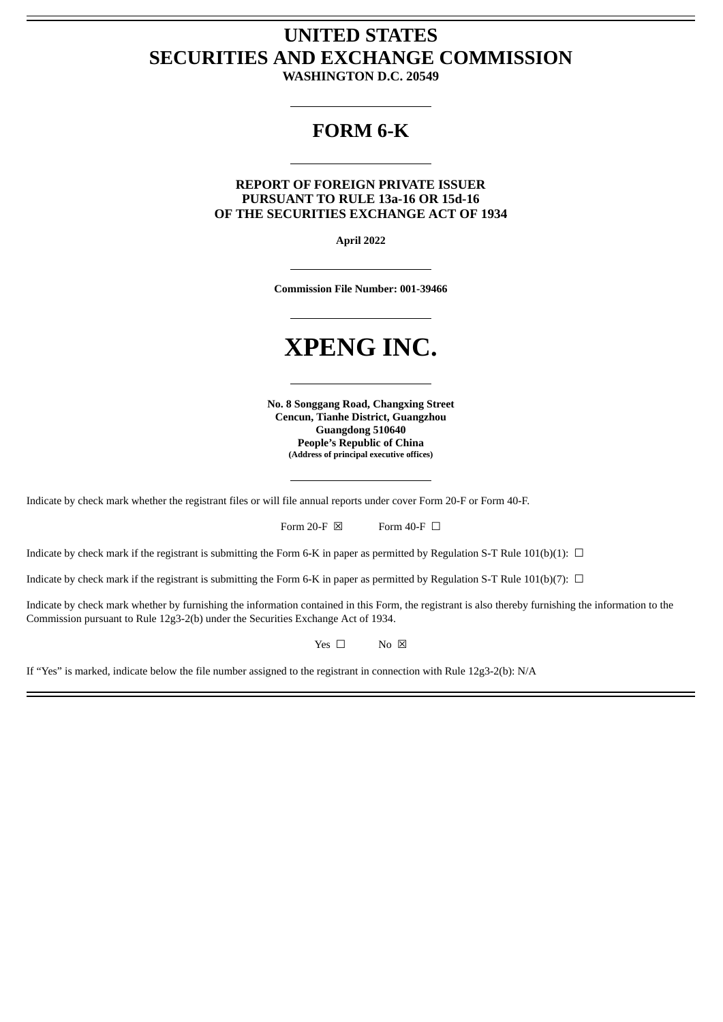## **UNITED STATES SECURITIES AND EXCHANGE COMMISSION**

**WASHINGTON D.C. 20549**

## **FORM 6-K**

**REPORT OF FOREIGN PRIVATE ISSUER PURSUANT TO RULE 13a-16 OR 15d-16 OF THE SECURITIES EXCHANGE ACT OF 1934**

**April 2022**

**Commission File Number: 001-39466**

# **XPENG INC.**

**No. 8 Songgang Road, Changxing Street Cencun, Tianhe District, Guangzhou Guangdong 510640 People's Republic of China (Address of principal executive offices)**

Indicate by check mark whether the registrant files or will file annual reports under cover Form 20-F or Form 40-F.

Form 20-F  $\boxtimes$  Form 40-F  $\Box$ 

Indicate by check mark if the registrant is submitting the Form 6-K in paper as permitted by Regulation S-T Rule 101(b)(1):  $\Box$ 

Indicate by check mark if the registrant is submitting the Form 6-K in paper as permitted by Regulation S-T Rule 101(b)(7):  $\Box$ 

Indicate by check mark whether by furnishing the information contained in this Form, the registrant is also thereby furnishing the information to the Commission pursuant to Rule 12g3-2(b) under the Securities Exchange Act of 1934.

Yes □ No ⊠

If "Yes" is marked, indicate below the file number assigned to the registrant in connection with Rule 12g3-2(b): N/A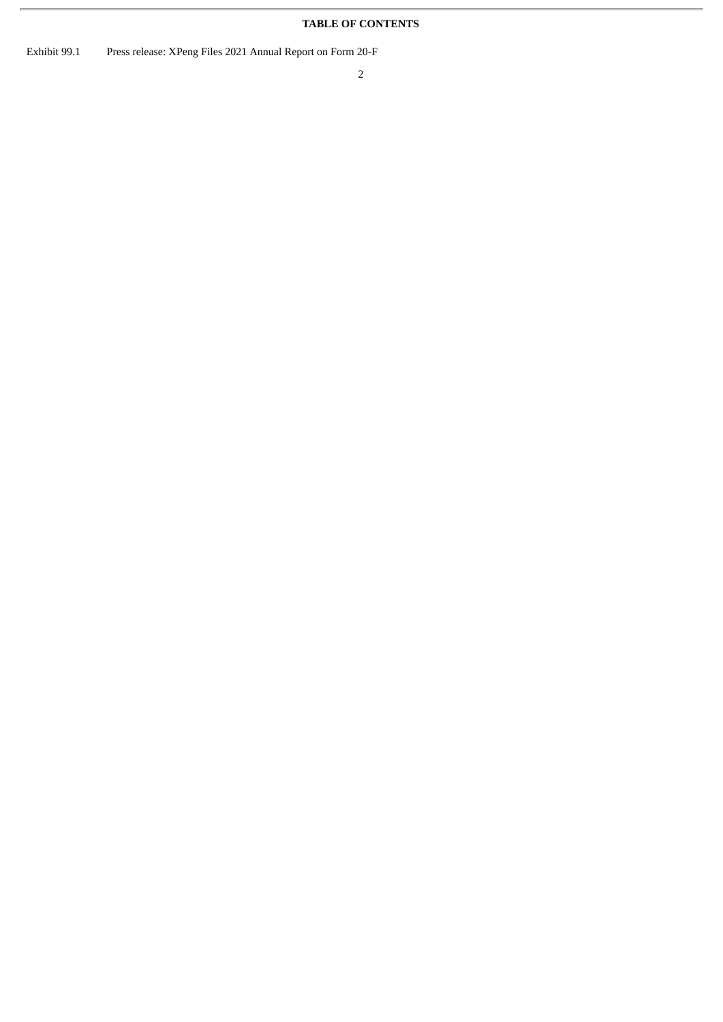### **TABLE OF CONTENTS**

Exhibit 99.1 Press release: XPeng Files 2021 Annual Report on Form 20-F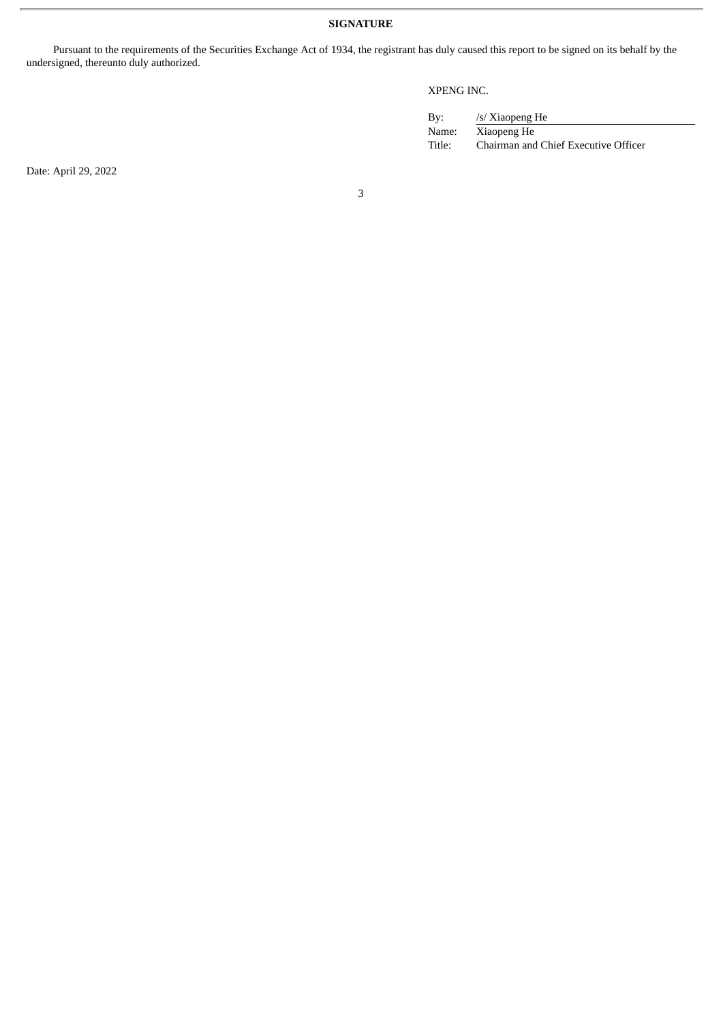**SIGNATURE**

Pursuant to the requirements of the Securities Exchange Act of 1934, the registrant has duly caused this report to be signed on its behalf by the undersigned, thereunto duly authorized.

#### XPENG INC.

| By:    | /s/ Xiaopeng He                      |
|--------|--------------------------------------|
| Name:  | Xiaopeng He                          |
| Title: | Chairman and Chief Executive Officer |

Date: April 29, 2022

3